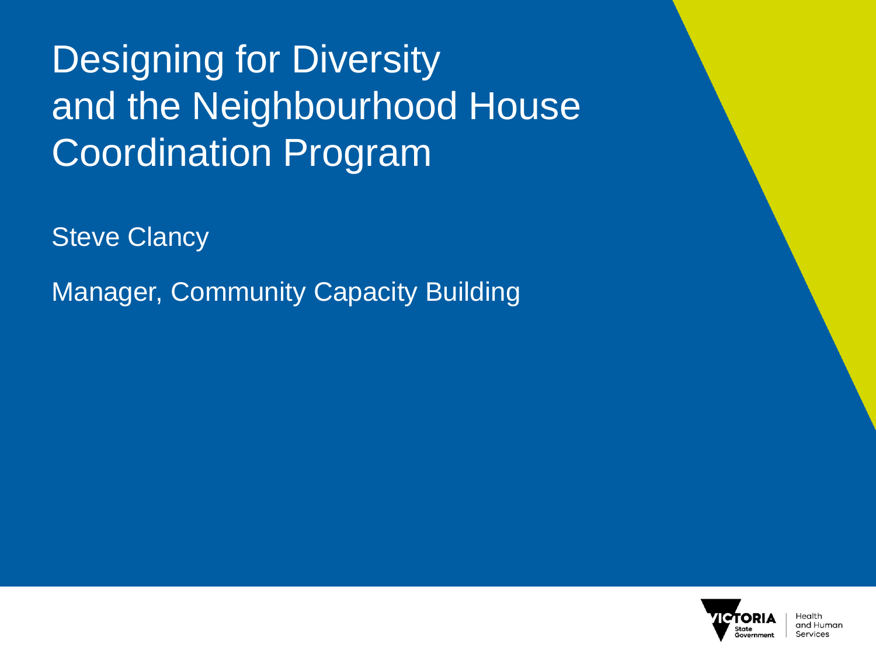## Designing for Diversity and the Neighbourhood House Coordination Program

Steve Clancy

Manager, Community Capacity Building

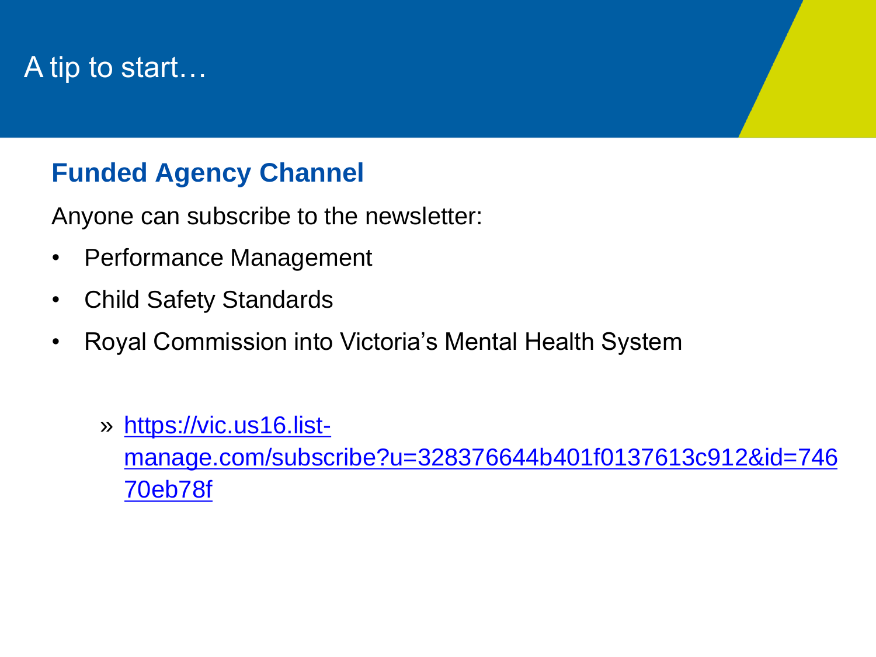## A tip to start…

#### **Funded Agency Channel**

Anyone can subscribe to the newsletter:

- Performance Management
- Child Safety Standards
- Royal Commission into Victoria's Mental Health System
	- » https://vic.us16.list[manage.com/subscribe?u=328376644b401f0137613c912&id=746](https://vic.us16.list-manage.com/subscribe?u=328376644b401f0137613c912&id=74670eb78f) 70eb78f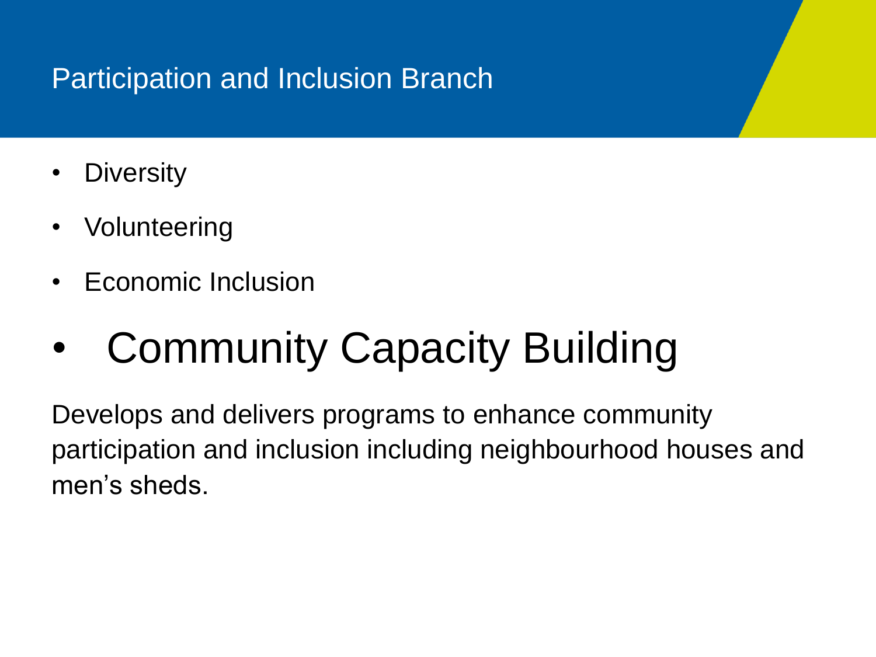### Participation and Inclusion Branch

- Diversity
- Volunteering
- Economic Inclusion

# • Community Capacity Building

Develops and delivers programs to enhance community participation and inclusion including neighbourhood houses and men's sheds.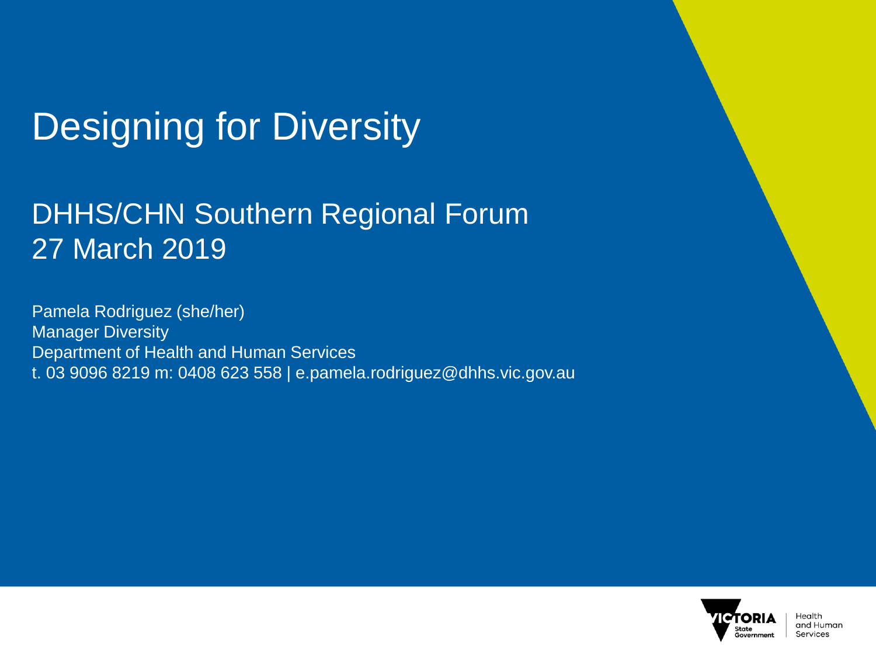## Designing for Diversity

### DHHS/CHN Southern Regional Forum 27 March 2019

Pamela Rodriguez (she/her) **Manager Diversity** Department of Health and Human Services t. 03 9096 8219 m: 0408 623 558 | e.pamela.rodriguez@dhhs.vic.gov.au

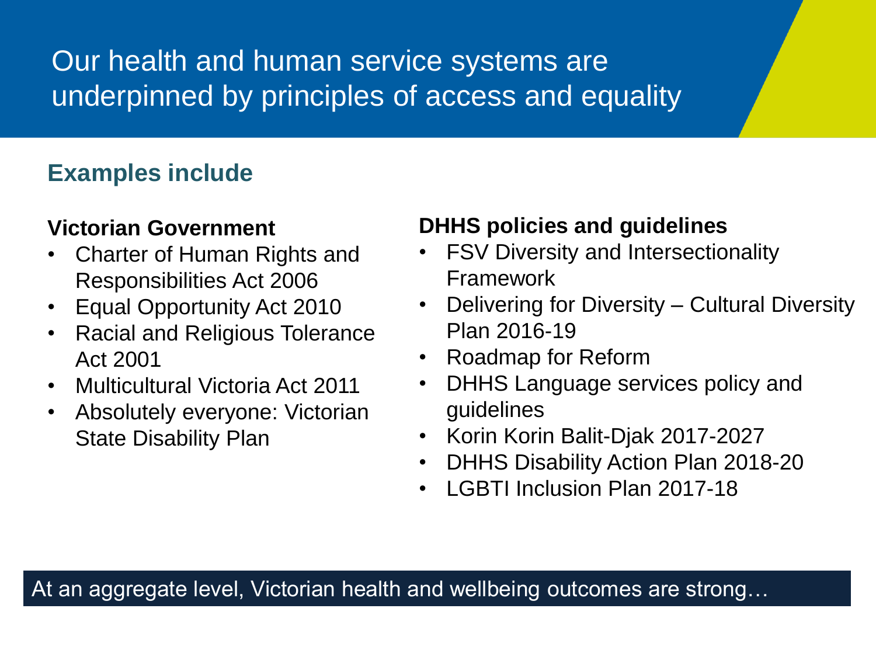## Our health and human service systems are underpinned by principles of access and equality

#### **Examples include**

#### **Victorian Government**

- Charter of Human Rights and Responsibilities Act 2006
- Equal Opportunity Act 2010
- Racial and Religious Tolerance Act 2001
- Multicultural Victoria Act 2011
- Absolutely everyone: Victorian **State Disability Plan**

#### **DHHS policies and guidelines**

- FSV Diversity and Intersectionality Framework
- Delivering for Diversity Cultural Diversity Plan 2016-19
- Roadmap for Reform
- DHHS Language services policy and guidelines
- Korin Korin Balit-Djak 2017-2027
- DHHS Disability Action Plan 2018-20
- LGBTI Inclusion Plan 2017-18

At an aggregate level, Victorian health and wellbeing outcomes are strong…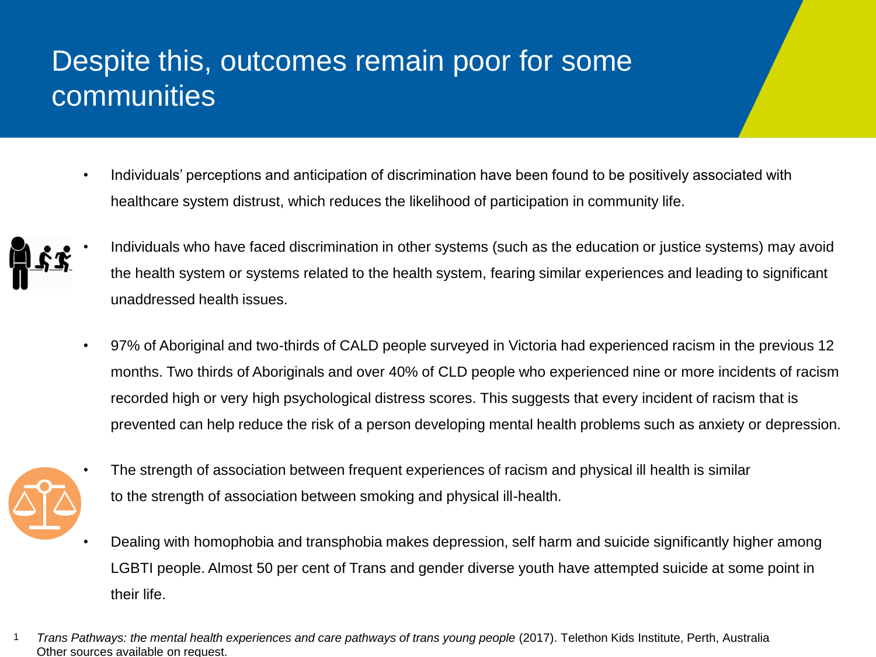## Despite this, outcomes remain poor for some communities

• Individuals' perceptions and anticipation of discrimination have been found to be positively associated with healthcare system distrust, which reduces the likelihood of participation in community life.



- Individuals who have faced discrimination in other systems (such as the education or justice systems) may avoid the health system or systems related to the health system, fearing similar experiences and leading to significant unaddressed health issues.
- 97% of Aboriginal and two-thirds of CALD people surveyed in Victoria had experienced racism in the previous 12 months. Two thirds of Aboriginals and over 40% of CLD people who experienced nine or more incidents of racism recorded high or very high psychological distress scores. This suggests that every incident of racism that is prevented can help reduce the risk of a person developing mental health problems such as anxiety or depression.



- The strength of association between frequent experiences of racism and physical ill health is similar to the strength of association between smoking and physical ill-health.
- Dealing with homophobia and transphobia makes depression, self harm and suicide significantly higher among LGBTI people. Almost 50 per cent of Trans and gender diverse youth have attempted suicide at some point in their life.
- Trans Pathways: the mental health experiences and care pathways of trans young people (2017). Telethon Kids Institute, Perth, Australia Other sources available on request.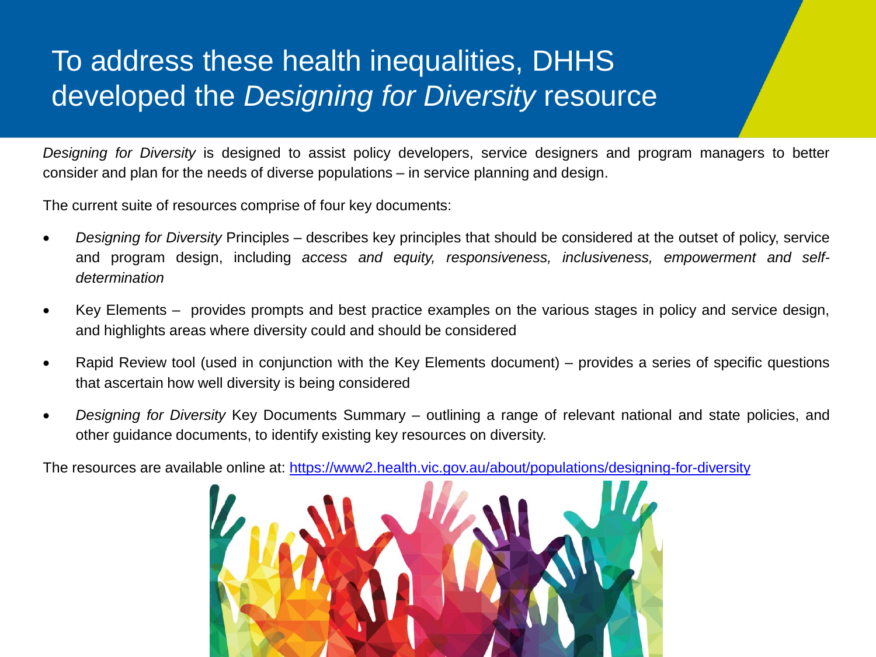## To address these health inequalities, DHHS developed the *Designing for Diversity* resource

*Designing for Diversity* is designed to assist policy developers, service designers and program managers to better consider and plan for the needs of diverse populations – in service planning and design.

The current suite of resources comprise of four key documents:

- *Designing for Diversity* Principles describes key principles that should be considered at the outset of policy, service and program design, including *access and equity, responsiveness, inclusiveness, empowerment and selfdetermination*
- Key Elements provides prompts and best practice examples on the various stages in policy and service design, and highlights areas where diversity could and should be considered
- Rapid Review tool (used in conjunction with the Key Elements document) provides a series of specific questions that ascertain how well diversity is being considered
- *Designing for Diversity* Key Documents Summary outlining a range of relevant national and state policies, and other guidance documents, to identify existing key resources on diversity.

The resources are available online at: <https://www2.health.vic.gov.au/about/populations/designing-for-diversity>

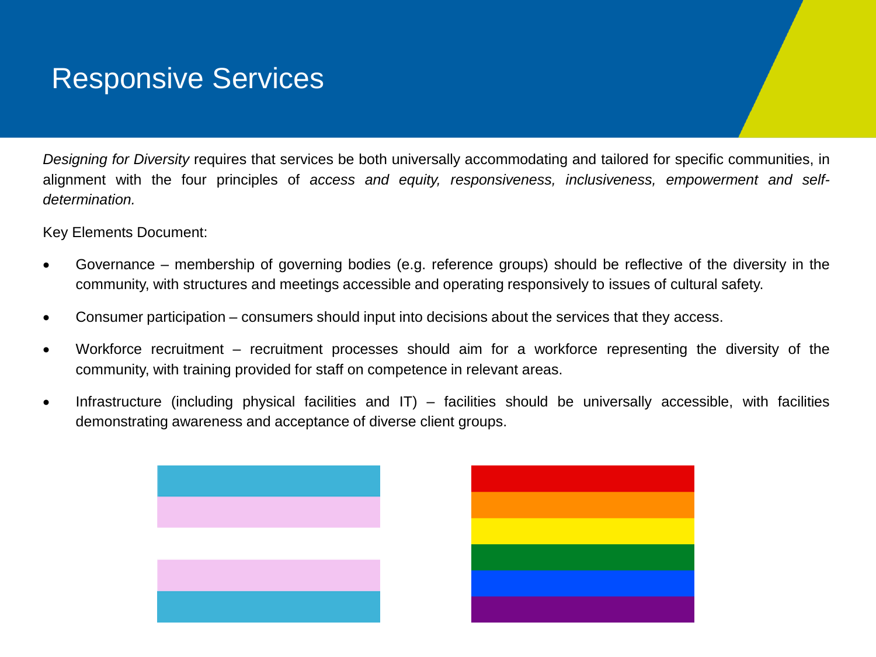#### Responsive Services

*Designing for Diversity* requires that services be both universally accommodating and tailored for specific communities, in alignment with the four principles of *access and equity, responsiveness, inclusiveness, empowerment and selfdetermination.*

Key Elements Document:

- Governance membership of governing bodies (e.g. reference groups) should be reflective of the diversity in the community, with structures and meetings accessible and operating responsively to issues of cultural safety.
- Consumer participation consumers should input into decisions about the services that they access.
- Workforce recruitment recruitment processes should aim for a workforce representing the diversity of the community, with training provided for staff on competence in relevant areas.
- Infrastructure (including physical facilities and IT) facilities should be universally accessible, with facilities demonstrating awareness and acceptance of diverse client groups.

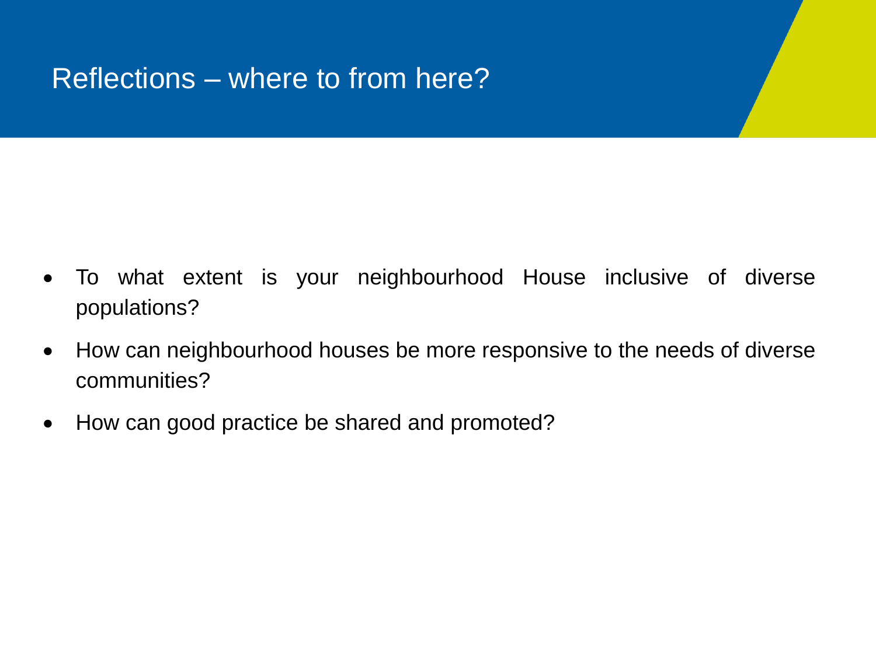### Reflections – where to from here?

- To what extent is your neighbourhood House inclusive of diverse populations?
- How can neighbourhood houses be more responsive to the needs of diverse communities?
- How can good practice be shared and promoted?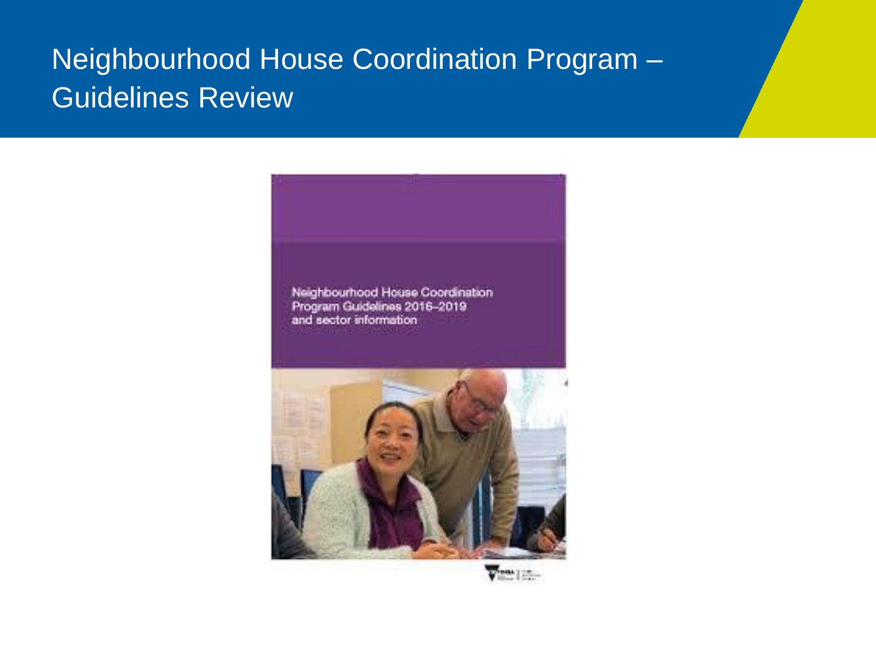## Neighbourhood House Coordination Program – Guidelines Review





View [25.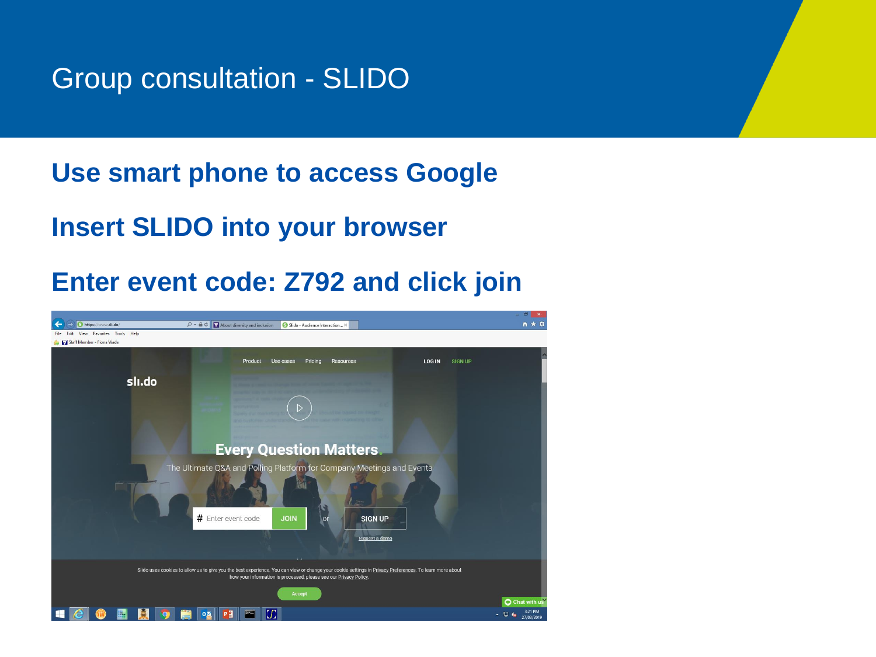#### Group consultation - SLIDO

#### **Use smart phone to access Google**

#### **Insert SLIDO into your browser**

#### **Enter event code: Z792 and click join**

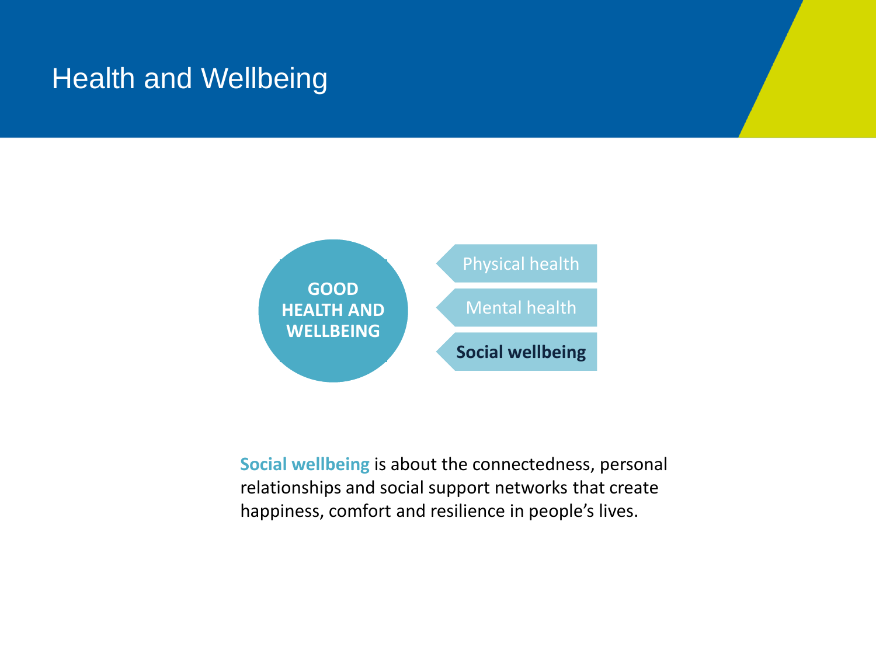#### Health and Wellbeing

![](_page_11_Figure_1.jpeg)

**Social wellbeing** is about the connectedness, personal relationships and social support networks that create happiness, comfort and resilience in people's lives.